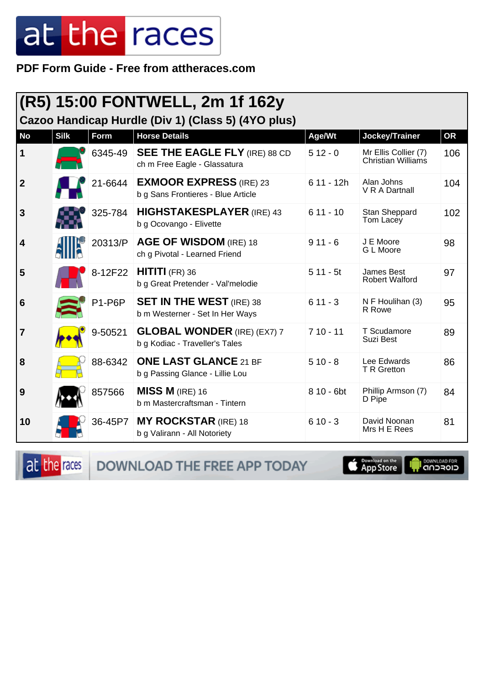PDF Form Guide - Free from attheraces.com

|                                                    |             |                    | (R5) 15:00 FONTWELL, 2m 1f 162y                                      |             |                                                   |           |  |  |
|----------------------------------------------------|-------------|--------------------|----------------------------------------------------------------------|-------------|---------------------------------------------------|-----------|--|--|
| Cazoo Handicap Hurdle (Div 1) (Class 5) (4YO plus) |             |                    |                                                                      |             |                                                   |           |  |  |
| <b>No</b>                                          | <b>Silk</b> | Form               | <b>Horse Details</b>                                                 | Age/Wt      | Jockey/Trainer                                    | <b>OR</b> |  |  |
| $\mathbf 1$                                        |             | 6345-49            | <b>SEE THE EAGLE FLY (IRE) 88 CD</b><br>ch m Free Eagle - Glassatura | $512 - 0$   | Mr Ellis Collier (7)<br><b>Christian Williams</b> | 106       |  |  |
| $\boldsymbol{2}$                                   |             | 21-6644            | <b>EXMOOR EXPRESS (IRE) 23</b><br>b g Sans Frontieres - Blue Article | $611 - 12h$ | Alan Johns<br>V R A Dartnall                      | 104       |  |  |
| $\mathbf{3}$                                       |             | 325-784            | <b>HIGHSTAKESPLAYER</b> (IRE) 43<br>b g Ocovango - Elivette          | $611 - 10$  | Stan Sheppard<br>Tom Lacey                        | 102       |  |  |
| $\overline{\mathbf{4}}$                            |             | 20313/P            | AGE OF WISDOM (IRE) 18<br>ch g Pivotal - Learned Friend              | $911 - 6$   | J E Moore<br>G L Moore                            | 98        |  |  |
| 5                                                  |             | 8-12F22            | $HITITI$ (FR) 36<br>b g Great Pretender - Val'melodie                | $511 - 5t$  | James Best<br><b>Robert Walford</b>               | 97        |  |  |
| 6                                                  |             | P <sub>1-P6P</sub> | <b>SET IN THE WEST</b> (IRE) 38<br>b m Westerner - Set In Her Ways   | $611 - 3$   | N F Houlihan (3)<br>R Rowe                        | 95        |  |  |
| 7                                                  |             | 9-50521            | <b>GLOBAL WONDER</b> (IRE) (EX7) 7<br>b g Kodiac - Traveller's Tales | $710 - 11$  | T Scudamore<br>Suzi Best                          | 89        |  |  |
| 8                                                  |             | 88-6342            | <b>ONE LAST GLANCE 21 BF</b><br>b g Passing Glance - Lillie Lou      | $510 - 8$   | Lee Edwards<br>T R Gretton                        | 86        |  |  |
| 9                                                  |             | 857566             | $MISS M$ (IRE) 16<br>b m Mastercraftsman - Tintern                   | 8 10 - 6bt  | Phillip Armson (7)<br>D Pipe                      | 84        |  |  |
| 10                                                 |             | 36-45P7            | <b>MY ROCKSTAR (IRE) 18</b><br>b g Valirann - All Notoriety          | $610 - 3$   | David Noonan<br>Mrs H E Rees                      | 81        |  |  |

at the races DOWNLOAD THE FREE APP TODAY

App Store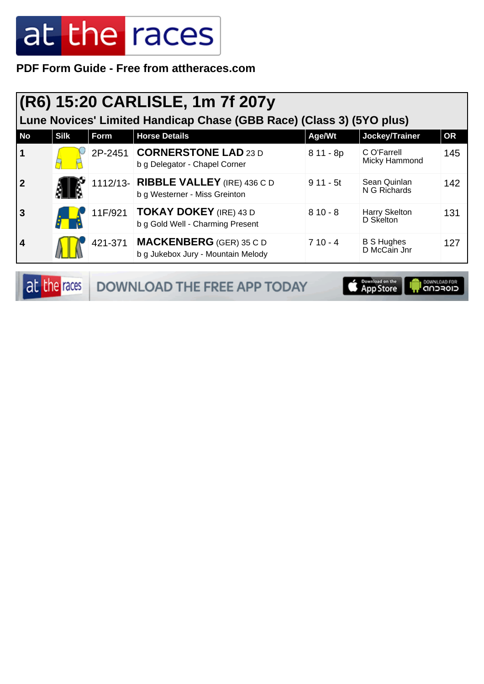**PDF Form Guide - Free from attheraces.com**

#### **(R6) 15:20 CARLISLE, 1m 7f 207y**

**Lune Novices' Limited Handicap Chase (GBB Race) (Class 3) (5YO plus)**

| <b>No</b>      | <b>Silk</b> | Form    | <b>Horse Details</b>                                                  | Age/Wt     | Jockey/Trainer                    | <b>OR</b> |
|----------------|-------------|---------|-----------------------------------------------------------------------|------------|-----------------------------------|-----------|
| $\vert$ 1      |             | 2P-2451 | <b>CORNERSTONE LAD 23 D</b><br>b g Delegator - Chapel Corner          | $811 - 8p$ | C O'Farrell<br>Micky Hammond      | 145       |
| $\overline{2}$ |             |         | 1112/13- RIBBLE VALLEY (IRE) 436 C D<br>b g Westerner - Miss Greinton | $911 - 5t$ | Sean Quinlan<br>N G Richards      | 142       |
| l 3            |             | 11F/921 | <b>TOKAY DOKEY</b> (IRE) 43 D<br>b g Gold Well - Charming Present     | $810 - 8$  | Harry Skelton<br>D Skelton        | 131       |
| $\vert$ 4      |             | 421-371 | <b>MACKENBERG</b> (GER) 35 C D<br>b g Jukebox Jury - Mountain Melody  | $710 - 4$  | <b>B S Hughes</b><br>D McCain Jnr | 127       |

at the races DOWNLOAD THE FREE APP TODAY App Store **OOWNLOAD FOR**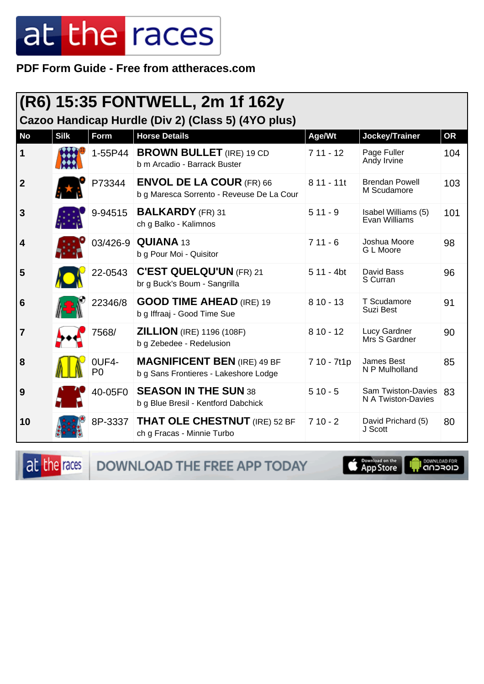PDF Form Guide - Free from attheraces.com

| (R6) 15:35 FONTWELL, 2m 1f 162y<br>Cazoo Handicap Hurdle (Div 2) (Class 5) (4YO plus) |             |              |                                                                              |             |                                          |           |  |  |
|---------------------------------------------------------------------------------------|-------------|--------------|------------------------------------------------------------------------------|-------------|------------------------------------------|-----------|--|--|
| <b>No</b>                                                                             | <b>Silk</b> | <b>Form</b>  | <b>Horse Details</b>                                                         | Age/Wt      | Jockey/Trainer                           | <b>OR</b> |  |  |
| 1                                                                                     |             | 1-55P44      | <b>BROWN BULLET</b> (IRE) 19 CD<br>b m Arcadio - Barrack Buster              | $711 - 12$  | Page Fuller<br>Andy Irvine               | 104       |  |  |
| $\boldsymbol{2}$                                                                      |             | P73344       | <b>ENVOL DE LA COUR (FR) 66</b><br>b g Maresca Sorrento - Reveuse De La Cour | $811 - 11t$ | <b>Brendan Powell</b><br>M Scudamore     | 103       |  |  |
| $\mathbf{3}$                                                                          |             | 9-94515      | <b>BALKARDY</b> (FR) 31<br>ch g Balko - Kalimnos                             | $511 - 9$   | Isabel Williams (5)<br>Evan Williams     | 101       |  |  |
| 4                                                                                     |             |              | 03/426-9 <b>QUIANA</b> 13<br>b g Pour Moi - Quisitor                         | $711 - 6$   | Joshua Moore<br>G L Moore                | 98        |  |  |
| 5                                                                                     |             | 22-0543      | <b>C'EST QUELQU'UN (FR) 21</b><br>br g Buck's Boum - Sangrilla               | $511 - 4bt$ | David Bass<br>S Curran                   | 96        |  |  |
| 6                                                                                     |             | 22346/8      | <b>GOOD TIME AHEAD (IRE) 19</b><br>b g Iffraaj - Good Time Sue               | $810 - 13$  | T Scudamore<br>Suzi Best                 | 91        |  |  |
| 7                                                                                     |             | 7568/        | <b>ZILLION</b> (IRE) 1196 (108F)<br>b g Zebedee - Redelusion                 | $810 - 12$  | Lucy Gardner<br>Mrs S Gardner            | 90        |  |  |
| 8                                                                                     |             | 0UF4-<br>P() | <b>MAGNIFICENT BEN (IRE) 49 BF</b><br>b g Sans Frontieres - Lakeshore Lodge  | 7 10 - 7t1p | James Best<br>N P Mulholland             | 85        |  |  |
| 9                                                                                     |             | 40-05F0      | <b>SEASON IN THE SUN 38</b><br>b g Blue Bresil - Kentford Dabchick           | $510 - 5$   | Sam Twiston-Davies<br>N A Twiston-Davies | 83        |  |  |
| 10                                                                                    |             | 8P-3337      | <b>THAT OLE CHESTNUT</b> (IRE) 52 BF<br>ch g Fracas - Minnie Turbo           | $710 - 2$   | David Prichard (5)<br>J Scott            | 80        |  |  |

at the races DOWNLOAD THE FREE APP TODAY

App Store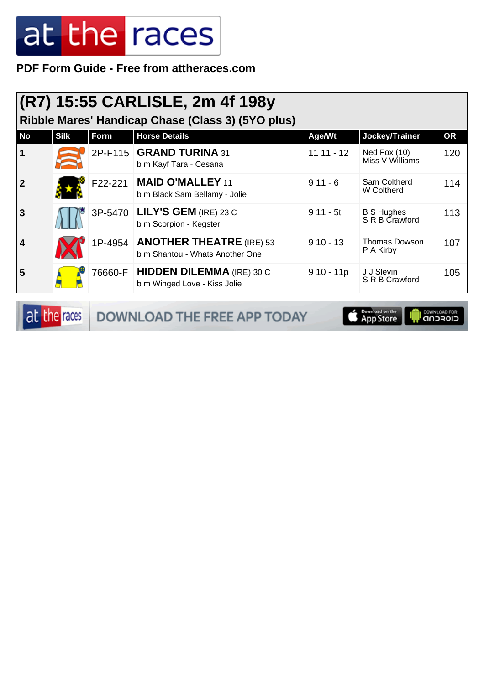**PDF Form Guide - Free from attheraces.com**

|  | (R7) 15:55 CARLISLE, 2m 4f 198y |  |  |
|--|---------------------------------|--|--|
|  |                                 |  |  |

**Ribble Mares' Handicap Chase (Class 3) (5YO plus)**

| <b>No</b>   | <b>Silk</b> | Form    | <b>Horse Details</b>                                                  | Age/Wt      | Jockey/Trainer                      | <b>OR</b> |
|-------------|-------------|---------|-----------------------------------------------------------------------|-------------|-------------------------------------|-----------|
|             |             |         | 2P-F115 GRAND TURINA 31<br>b m Kayf Tara - Cesana                     | $1111 - 12$ | Ned Fox $(10)$<br>Miss V Williams   | 120       |
| $\mathbf 2$ |             | F22-221 | <b>MAID O'MALLEY 11</b><br>b m Black Sam Bellamy - Jolie              | $911 - 6$   | Sam Coltherd<br>W Coltherd          | 114       |
| 3           |             |         | 3P-5470 LILY'S GEM (IRE) 23 C<br>b m Scorpion - Kegster               | $911 - 5t$  | <b>B S Hughes</b><br>S R B Crawford | 113       |
| 4           |             |         | 1P-4954   ANOTHER THEATRE (IRE) 53<br>b m Shantou - Whats Another One | $910 - 13$  | Thomas Dowson<br>P A Kirby          | 107       |
| 5           |             | 76660-F | <b>HIDDEN DILEMMA</b> (IRE) 30 C<br>b m Winged Love - Kiss Jolie      | $910 - 11p$ | J J Slevin<br>S R B Crawford        | 105       |

at the races DOWNLOAD THE FREE APP TODAY

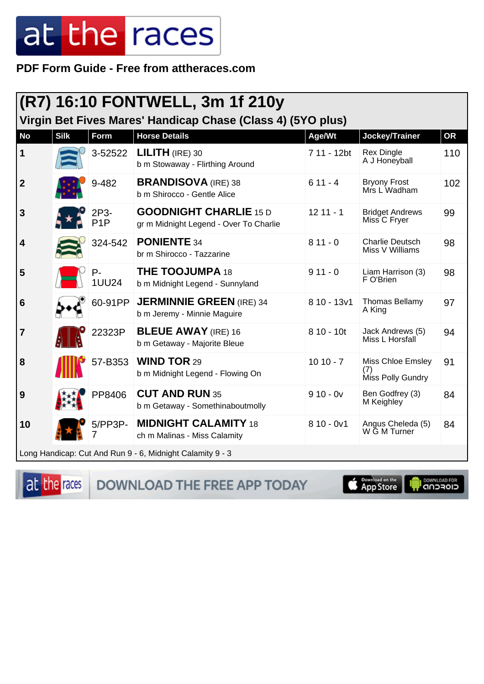PDF Form Guide - Free from attheraces.com

|                  | (R7) 16:10 FONTWELL, 3m 1f 210y                             |                          |                                                                         |              |                                               |           |  |  |
|------------------|-------------------------------------------------------------|--------------------------|-------------------------------------------------------------------------|--------------|-----------------------------------------------|-----------|--|--|
|                  | Virgin Bet Fives Mares' Handicap Chase (Class 4) (5YO plus) |                          |                                                                         |              |                                               |           |  |  |
| <b>No</b>        | <b>Silk</b>                                                 | Form                     | <b>Horse Details</b>                                                    | Age/Wt       | Jockey/Trainer                                | <b>OR</b> |  |  |
| 1                |                                                             | 3-52522                  | $LILITH$ (IRE) 30<br>b m Stowaway - Flirthing Around                    | 7 11 - 12bt  | <b>Rex Dingle</b><br>A J Honeyball            | 110       |  |  |
| $\boldsymbol{2}$ |                                                             | 9-482                    | <b>BRANDISOVA</b> (IRE) 38<br>b m Shirocco - Gentle Alice               | $611 - 4$    | <b>Bryony Frost</b><br>Mrs L Wadham           | 102       |  |  |
| 3                |                                                             | 2P3-<br>P <sub>1</sub> P | <b>GOODNIGHT CHARLIE 15 D</b><br>gr m Midnight Legend - Over To Charlie | $1211 - 1$   | <b>Bridget Andrews</b><br>Miss C Fryer        | 99        |  |  |
| 4                |                                                             | 324-542                  | <b>PONIENTE 34</b><br>br m Shirocco - Tazzarine                         | $811 - 0$    | <b>Charlie Deutsch</b><br>Miss V Williams     | 98        |  |  |
| 5                |                                                             | $P -$<br><b>1UU24</b>    | <b>THE TOOJUMPA 18</b><br>b m Midnight Legend - Sunnyland               | $911 - 0$    | Liam Harrison (3)<br>F O'Brien                | 98        |  |  |
| 6                |                                                             | 60-91PP                  | <b>JERMINNIE GREEN (IRE) 34</b><br>b m Jeremy - Minnie Maguire          | $810 - 13v1$ | <b>Thomas Bellamy</b><br>A King               | 97        |  |  |
| 7                |                                                             | 22323P                   | <b>BLEUE AWAY</b> (IRE) 16<br>b m Getaway - Majorite Bleue              | $810 - 10t$  | Jack Andrews (5)<br>Miss L Horsfall           | 94        |  |  |
| 8                |                                                             | 57-B353                  | <b>WIND TOR 29</b><br>b m Midnight Legend - Flowing On                  | $1010 - 7$   | Miss Chloe Emsley<br>(7)<br>Miss Polly Gundry | 91        |  |  |
| 9                |                                                             | PP8406                   | <b>CUT AND RUN 35</b><br>b m Getaway - Somethinaboutmolly               | $910 - 0v$   | Ben Godfrey (3)<br>M Keighley                 | 84        |  |  |
| 10               |                                                             | 5/PP3P-                  | <b>MIDNIGHT CALAMITY 18</b><br>ch m Malinas - Miss Calamity             | $810 - 0v1$  | Angus Cheleda (5)<br>W G M Turner             | 84        |  |  |
|                  |                                                             |                          | Long Handicap: Cut And Run 9 - 6, Midnight Calamity 9 - 3               |              |                                               |           |  |  |

at the races

DOWNLOAD THE FREE APP TODAY

App Store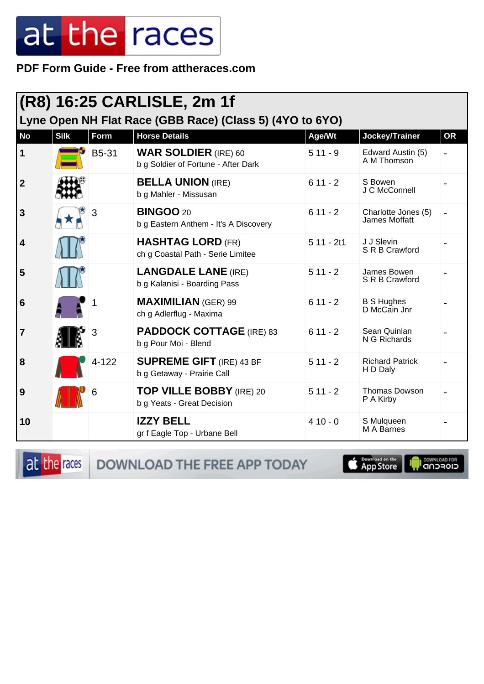PDF Form Guide - Free from attheraces.com

|                                                          |             |           | (R8) 16:25 CARLISLE, 2m 1f                                         |             |                                      |           |  |  |
|----------------------------------------------------------|-------------|-----------|--------------------------------------------------------------------|-------------|--------------------------------------|-----------|--|--|
| Lyne Open NH Flat Race (GBB Race) (Class 5) (4YO to 6YO) |             |           |                                                                    |             |                                      |           |  |  |
| <b>No</b>                                                | <b>Silk</b> | Form      | <b>Horse Details</b>                                               | Age/Wt      | Jockey/Trainer                       | <b>OR</b> |  |  |
| $\mathbf{1}$                                             |             | B5-31     | <b>WAR SOLDIER</b> (IRE) 60<br>b g Soldier of Fortune - After Dark | $511 - 9$   | Edward Austin (5)<br>A M Thomson     |           |  |  |
| $\boldsymbol{2}$                                         |             |           | <b>BELLA UNION (IRE)</b><br>b g Mahler - Missusan                  | $611 - 2$   | S Bowen<br>J C McConnell             |           |  |  |
| 3                                                        |             | 3         | <b>BINGOO 20</b><br>b g Eastern Anthem - It's A Discovery          | $611 - 2$   | Charlotte Jones (5)<br>James Moffatt |           |  |  |
| $\overline{\mathbf{4}}$                                  |             |           | <b>HASHTAG LORD (FR)</b><br>ch g Coastal Path - Serie Limitee      | $511 - 2t1$ | J J Slevin<br>S R B Crawford         |           |  |  |
| 5                                                        |             |           | <b>LANGDALE LANE (IRE)</b><br>b g Kalanisi - Boarding Pass         | $511 - 2$   | James Bowen<br>S R B Crawford        |           |  |  |
| 6                                                        |             |           | <b>MAXIMILIAN (GER) 99</b><br>ch g Adlerflug - Maxima              | $611 - 2$   | <b>B S Hughes</b><br>D McCain Jnr    |           |  |  |
| 7                                                        |             | 3         | <b>PADDOCK COTTAGE (IRE) 83</b><br>b g Pour Moi - Blend            | $611 - 2$   | Sean Quinlan<br>N G Richards         |           |  |  |
| 8                                                        |             | $4 - 122$ | <b>SUPREME GIFT</b> (IRE) 43 BF<br>b g Getaway - Prairie Call      | $511 - 2$   | <b>Richard Patrick</b><br>H D Daly   |           |  |  |
| 9                                                        |             | 6         | <b>TOP VILLE BOBBY</b> (IRE) 20<br>b g Yeats - Great Decision      | $511 - 2$   | <b>Thomas Dowson</b><br>P A Kirby    |           |  |  |
| 10                                                       |             |           | <b>IZZY BELL</b><br>gr f Eagle Top - Urbane Bell                   | $410 - 0$   | S Mulqueen<br>M A Barnes             |           |  |  |

at the races

DOWNLOAD THE FREE APP TODAY

App Store **OWNLOAD FOR**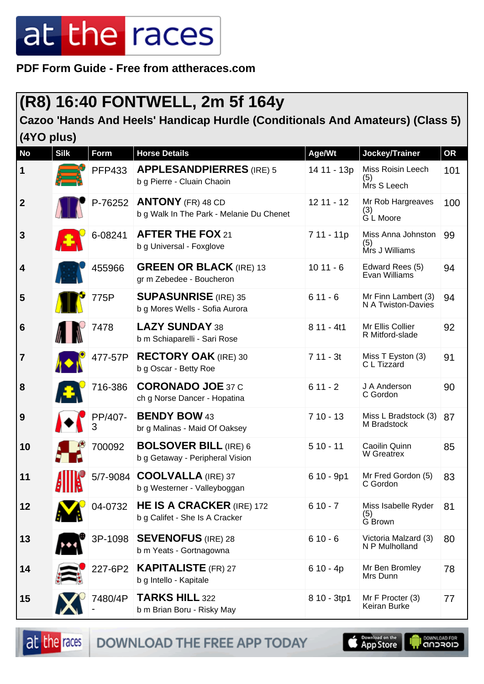**PDF Form Guide - Free from attheraces.com**

#### **(R8) 16:40 FONTWELL, 2m 5f 164y**

#### **Cazoo 'Hands And Heels' Handicap Hurdle (Conditionals And Amateurs) (Class 5) (4YO plus)**

| <b>No</b>        | <b>Silk</b> | <b>Form</b>   | <b>Horse Details</b>                                                 | Age/Wt       | Jockey/Trainer                              | OR  |
|------------------|-------------|---------------|----------------------------------------------------------------------|--------------|---------------------------------------------|-----|
| 1                |             | <b>PFP433</b> | <b>APPLESANDPIERRES</b> (IRE) 5<br>b g Pierre - Cluain Chaoin        | 14 11 - 13p  | Miss Roisin Leech<br>(5)<br>Mrs S Leech     | 101 |
| $\boldsymbol{2}$ |             | P-76252       | <b>ANTONY</b> (FR) 48 CD<br>b g Walk In The Park - Melanie Du Chenet | $12$ 11 - 12 | Mr Rob Hargreaves<br>(3)<br>G L Moore       | 100 |
| $\mathbf{3}$     |             | 6-08241       | <b>AFTER THE FOX 21</b><br>b g Universal - Foxglove                  | 7 11 - 11p   | Miss Anna Johnston<br>(5)<br>Mrs J Williams | 99  |
| 4                |             | 455966        | <b>GREEN OR BLACK (IRE) 13</b><br>gr m Zebedee - Boucheron           | $1011 - 6$   | Edward Rees (5)<br>Evan Williams            | 94  |
| 5                |             | 775P          | <b>SUPASUNRISE</b> (IRE) 35<br>b g Mores Wells - Sofia Aurora        | $611 - 6$    | Mr Finn Lambert (3)<br>N A Twiston-Davies   | 94  |
| $6\phantom{1}6$  |             | 7478          | LAZY SUNDAY 38<br>b m Schiaparelli - Sari Rose                       | $811 - 4t1$  | Mr Ellis Collier<br>R Mitford-slade         | 92  |
| $\overline{7}$   |             | 477-57P       | <b>RECTORY OAK</b> (IRE) 30<br>b g Oscar - Betty Roe                 | $711 - 3t$   | Miss T Eyston (3)<br>C L Tizzard            | 91  |
| 8                |             | 716-386       | <b>CORONADO JOE 37 C</b><br>ch g Norse Dancer - Hopatina             | $611 - 2$    | J A Anderson<br>C Gordon                    | 90  |
| 9                |             | PP/407-<br>3  | <b>BENDY BOW 43</b><br>br g Malinas - Maid Of Oaksey                 | $710 - 13$   | Miss L Bradstock (3)<br>M Bradstock         | 87  |
| 10               |             | 700092        | <b>BOLSOVER BILL (IRE) 6</b><br>b g Getaway - Peripheral Vision      | $510 - 11$   | Caoilin Quinn<br>W Greatrex                 | 85  |
| 11               |             |               | 5/7-9084 COOLVALLA (IRE) 37<br>b g Westerner - Valleyboggan          | 6 10 - 9p1   | Mr Fred Gordon (5)<br>C Gordon              | 83  |
| 12               |             | $104 - 0732$  | <b>HE IS A CRACKER (IRE) 172</b><br>b g Califet - She Is A Cracker   | $610 - 7$    | Miss Isabelle Ryder<br>(5)<br>G Brown       | 81  |
| 13               |             | 3P-1098       | <b>SEVENOFUS</b> (IRE) 28<br>b m Yeats - Gortnagowna                 | $610 - 6$    | Victoria Malzard (3)<br>N P Mulholland      | 80  |
| 14               |             | 227-6P2       | <b>KAPITALISTE</b> (FR) 27<br>b g Intello - Kapitale                 | $610 - 4p$   | Mr Ben Bromley<br>Mrs Dunn                  | 78  |
| 15               |             | 7480/4P       | <b>TARKS HILL 322</b><br>b m Brian Boru - Risky May                  | 8 10 - 3tp1  | Mr F Procter (3)<br>Keiran Burke            | 77  |

at the races

DOWNLOAD THE FREE APP TODAY

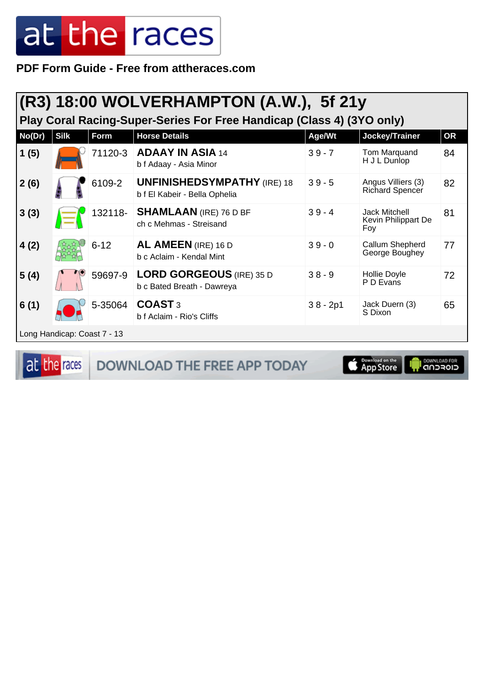**PDF Form Guide - Free from attheraces.com**

#### **(R3) 18:00 WOLVERHAMPTON (A.W.), 5f 21y**

**Play Coral Racing-Super-Series For Free Handicap (Class 4) (3YO only)**

| No(Dr) | <b>Silk</b>                 | Form     | <b>Horse Details</b>                                                | Age/Wt     | Jockey/Trainer                                     | <b>OR</b> |
|--------|-----------------------------|----------|---------------------------------------------------------------------|------------|----------------------------------------------------|-----------|
| 1(5)   |                             | 71120-3  | <b>ADAAY IN ASIA 14</b><br>b f Adaay - Asia Minor                   | $39 - 7$   | Tom Marquand<br>H J L Dunlop                       | 84        |
| 2(6)   |                             | 6109-2   | <b>UNFINISHEDSYMPATHY</b> (IRE) 18<br>b f El Kabeir - Bella Ophelia | $39 - 5$   | Angus Villiers (3)<br><b>Richard Spencer</b>       | 82        |
| 3(3)   |                             | 132118-  | <b>SHAMLAAN</b> (IRE) 76 D BF<br>ch c Mehmas - Streisand            | $39 - 4$   | <b>Jack Mitchell</b><br>Kevin Philippart De<br>Foy | 81        |
| 4(2)   |                             | $6 - 12$ | AL AMEEN (IRE) 16 D<br>b c Aclaim - Kendal Mint                     | $39 - 0$   | Callum Shepherd<br>George Boughey                  | 77        |
| 5(4)   |                             | 59697-9  | <b>LORD GORGEOUS (IRE) 35 D</b><br>b c Bated Breath - Dawreya       | $38 - 9$   | Hollie Doyle<br>P D Evans                          | 72        |
| 6(1)   |                             | 5-35064  | COAST <sub>3</sub><br>b f Aclaim - Rio's Cliffs                     | $38 - 2p1$ | Jack Duern (3)<br>S Dixon                          | 65        |
|        | Long Handicap: Coast 7 - 13 |          |                                                                     |            |                                                    |           |

at the races

DOWNLOAD THE FREE APP TODAY

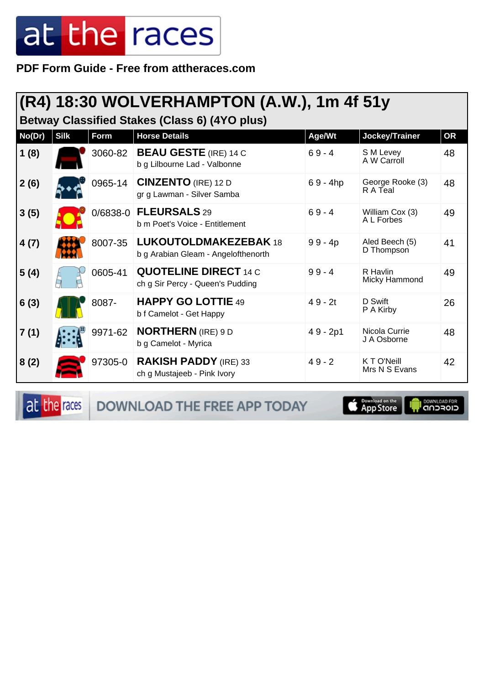**PDF Form Guide - Free from attheraces.com**

#### **(R4) 18:30 WOLVERHAMPTON (A.W.), 1m 4f 51y**

**Betway Classified Stakes (Class 6) (4YO plus)**

| No(Dr) | <b>Silk</b> | Form    | <b>Horse Details</b>                                                | Age/Wt     | Jockey/Trainer                | <b>OR</b> |
|--------|-------------|---------|---------------------------------------------------------------------|------------|-------------------------------|-----------|
| 1(8)   |             | 3060-82 | <b>BEAU GESTE (IRE) 14 C</b><br>b g Lilbourne Lad - Valbonne        | $69 - 4$   | S M Levey<br>A W Carroll      | 48        |
| 2(6)   |             | 0965-14 | <b>CINZENTO</b> (IRE) 12 D<br>gr g Lawman - Silver Samba            | $69 - 4hp$ | George Rooke (3)<br>R A Teal  | 48        |
| 3(5)   |             |         | 0/6838-0 FLEURSALS 29<br>b m Poet's Voice - Entitlement             | $69 - 4$   | William Cox (3)<br>A L Forbes | 49        |
| 4(7)   |             | 8007-35 | <b>LUKOUTOLDMAKEZEBAK 18</b><br>b g Arabian Gleam - Angelofthenorth | $99 - 4p$  | Aled Beech (5)<br>D Thompson  | 41        |
| 5(4)   |             | 0605-41 | <b>QUOTELINE DIRECT 14 C</b><br>ch g Sir Percy - Queen's Pudding    | $99 - 4$   | R Havlin<br>Micky Hammond     | 49        |
| 6(3)   |             | 8087-   | <b>HAPPY GO LOTTIE 49</b><br>b f Camelot - Get Happy                | $49 - 2t$  | D Swift<br>P A Kirby          | 26        |
| 7(1)   |             | 9971-62 | <b>NORTHERN</b> (IRE) 9 D<br>b g Camelot - Myrica                   | $49 - 2p1$ | Nicola Currie<br>J A Osborne  | 48        |
| 8(2)   |             | 97305-0 | <b>RAKISH PADDY</b> (IRE) 33<br>ch g Mustajeeb - Pink Ivory         | $49 - 2$   | K T O'Neill<br>Mrs N S Evans  | 42        |

at the races

DOWNLOAD THE FREE APP TODAY

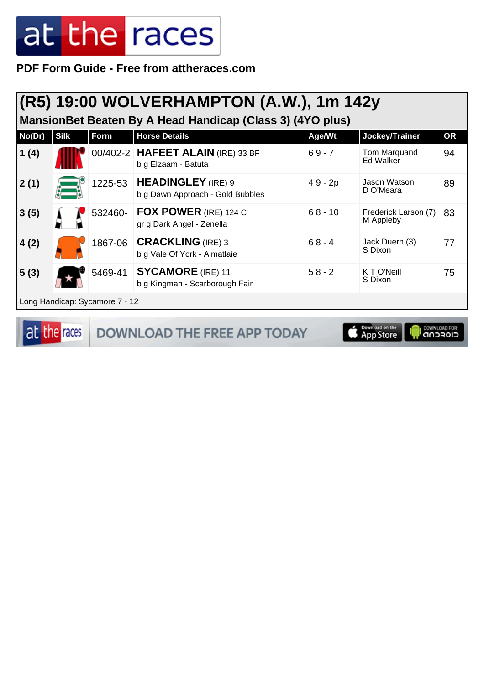**PDF Form Guide - Free from attheraces.com**

| (R5) 19:00 WOLVERHAMPTON (A.W.), 1m 142y<br>Mansion Bet Beaten By A Head Handicap (Class 3) (4YO plus) |             |                                |                                                               |           |                                   |           |  |
|--------------------------------------------------------------------------------------------------------|-------------|--------------------------------|---------------------------------------------------------------|-----------|-----------------------------------|-----------|--|
| No(Dr)                                                                                                 | <b>Silk</b> | Form                           | <b>Horse Details</b>                                          | Age/Wt    | Jockey/Trainer                    | <b>OR</b> |  |
| 1(4)                                                                                                   |             |                                | 00/402-2 HAFEET ALAIN (IRE) 33 BF<br>b g Elzaam - Batuta      | $69 - 7$  | Tom Marquand<br>Ed Walker         | 94        |  |
| 2(1)                                                                                                   |             | 1225-53                        | <b>HEADINGLEY</b> (IRE) 9<br>b g Dawn Approach - Gold Bubbles | 49 - 2p   | Jason Watson<br>D O'Meara         | 89        |  |
| 3(5)                                                                                                   |             | 532460-                        | FOX POWER (IRE) 124 C<br>gr g Dark Angel - Zenella            | $68 - 10$ | Frederick Larson (7)<br>M Appleby | 83        |  |
| 4(2)                                                                                                   |             | 1867-06                        | <b>CRACKLING (IRE) 3</b><br>b g Vale Of York - Almatlaie      | $68 - 4$  | Jack Duern (3)<br>S Dixon         | 77        |  |
| 5(3)                                                                                                   |             | 5469-41                        | <b>SYCAMORE</b> (IRE) 11<br>b g Kingman - Scarborough Fair    | $58 - 2$  | K T O'Neill<br>S Dixon            | 75        |  |
|                                                                                                        |             | Long Handicap: Sycamore 7 - 12 |                                                               |           |                                   |           |  |

at the races **DOWNLOAD THE FREE APP TODAY** 

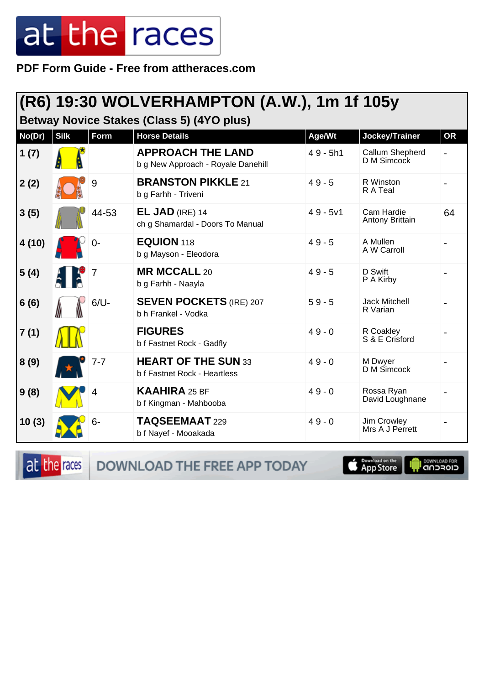**PDF Form Guide - Free from attheraces.com**

#### **(R6) 19:30 WOLVERHAMPTON (A.W.), 1m 1f 105y**

**Betway Novice Stakes (Class 5) (4YO plus)**

| No(Dr) | <b>Silk</b> | Form    | <b>Horse Details</b>                                           | Age/Wt     | Jockey/Trainer                   | <b>OR</b> |
|--------|-------------|---------|----------------------------------------------------------------|------------|----------------------------------|-----------|
| 1(7)   |             |         | <b>APPROACH THE LAND</b><br>b g New Approach - Royale Danehill | $49 - 5h1$ | Callum Shepherd<br>D M Simcock   |           |
| 2(2)   |             | 9       | <b>BRANSTON PIKKLE 21</b><br>b g Farhh - Triveni               | $49 - 5$   | R Winston<br>R A Teal            |           |
| 3(5)   |             | 44-53   | $EL$ JAD (IRE) 14<br>ch g Shamardal - Doors To Manual          | $49 - 5v1$ | Cam Hardie<br>Antony Brittain    | 64        |
| 4(10)  |             | 0-      | <b>EQUION 118</b><br>b g Mayson - Eleodora                     | $49 - 5$   | A Mullen<br>A W Carroll          |           |
| 5(4)   |             |         | <b>MR MCCALL 20</b><br>b g Farhh - Naayla                      | $49 - 5$   | D Swift<br>P A Kirby             |           |
| 6(6)   |             | $6/U -$ | <b>SEVEN POCKETS (IRE) 207</b><br>b h Frankel - Vodka          | $59 - 5$   | <b>Jack Mitchell</b><br>R Varian |           |
| 7(1)   |             |         | <b>FIGURES</b><br>b f Fastnet Rock - Gadfly                    | $49 - 0$   | R Coakley<br>S & E Crisford      |           |
| 8(9)   |             | $7 - 7$ | <b>HEART OF THE SUN 33</b><br>b f Fastnet Rock - Heartless     | $49 - 0$   | M Dwyer<br>D M Simcock           |           |
| 9(8)   |             | 4       | <b>KAAHIRA 25 BF</b><br>b f Kingman - Mahbooba                 | $49 - 0$   | Rossa Ryan<br>David Loughnane    |           |
| 10(3)  |             | $6-$    | TAQSEEMAAT 229<br>b f Nayef - Mooakada                         | $49 - 0$   | Jim Crowley<br>Mrs A J Perrett   |           |

at the races DOWNLOAD THE FREE APP TODAY

App Store